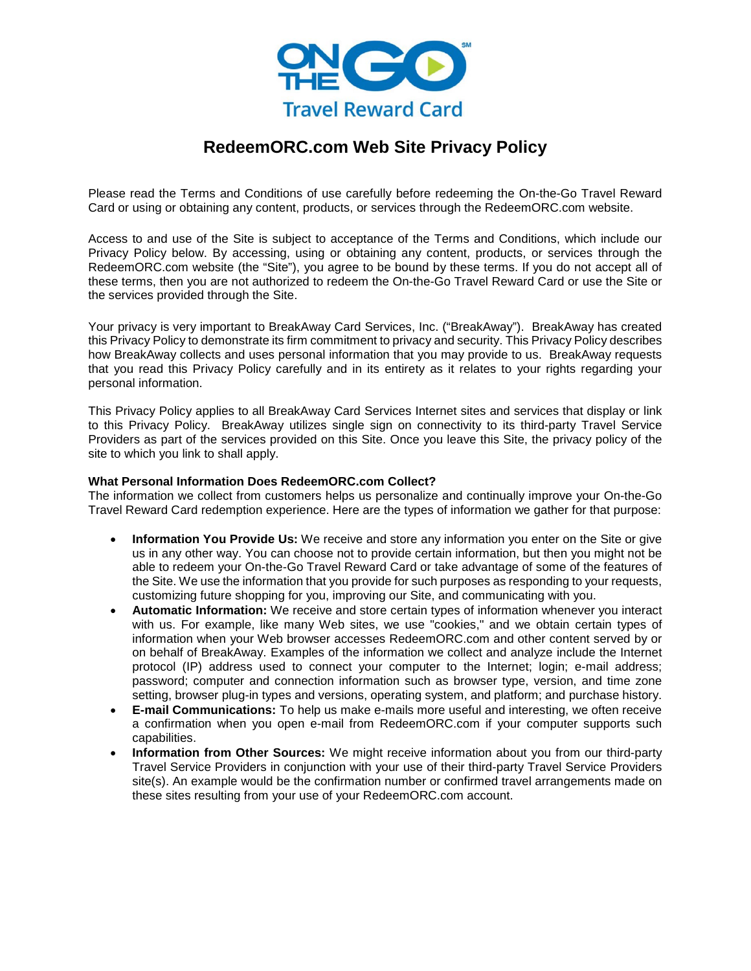

# **RedeemORC.com Web Site Privacy Policy**

Please read the Terms and Conditions of use carefully before redeeming the On-the-Go Travel Reward Card or using or obtaining any content, products, or services through the RedeemORC.com website.

Access to and use of the Site is subject to acceptance of the Terms and Conditions, which include our Privacy Policy below. By accessing, using or obtaining any content, products, or services through the RedeemORC.com website (the "Site"), you agree to be bound by these terms. If you do not accept all of these terms, then you are not authorized to redeem the On-the-Go Travel Reward Card or use the Site or the services provided through the Site.

Your privacy is very important to BreakAway Card Services, Inc. ("BreakAway"). BreakAway has created this Privacy Policy to demonstrate its firm commitment to privacy and security. This Privacy Policy describes how BreakAway collects and uses personal information that you may provide to us. BreakAway requests that you read this Privacy Policy carefully and in its entirety as it relates to your rights regarding your personal information.

This Privacy Policy applies to all BreakAway Card Services Internet sites and services that display or link to this Privacy Policy. BreakAway utilizes single sign on connectivity to its third-party Travel Service Providers as part of the services provided on this Site. Once you leave this Site, the privacy policy of the site to which you link to shall apply.

## **What Personal Information Does RedeemORC.com Collect?**

The information we collect from customers helps us personalize and continually improve your On-the-Go Travel Reward Card redemption experience. Here are the types of information we gather for that purpose:

- **Information You Provide Us:** We receive and store any information you enter on the Site or give us in any other way. You can choose not to provide certain information, but then you might not be able to redeem your On-the-Go Travel Reward Card or take advantage of some of the features of the Site. We use the information that you provide for such purposes as responding to your requests, customizing future shopping for you, improving our Site, and communicating with you.
- **Automatic Information:** We receive and store certain types of information whenever you interact with us. For example, like many Web sites, we use "cookies," and we obtain certain types of information when your Web browser accesses RedeemORC.com and other content served by or on behalf of BreakAway. Examples of the information we collect and analyze include the Internet protocol (IP) address used to connect your computer to the Internet; login; e-mail address; password; computer and connection information such as browser type, version, and time zone setting, browser plug-in types and versions, operating system, and platform; and purchase history.
- **E-mail Communications:** To help us make e-mails more useful and interesting, we often receive a confirmation when you open e-mail from RedeemORC.com if your computer supports such capabilities.
- **Information from Other Sources:** We might receive information about you from our third-party Travel Service Providers in conjunction with your use of their third-party Travel Service Providers site(s). An example would be the confirmation number or confirmed travel arrangements made on these sites resulting from your use of your RedeemORC.com account.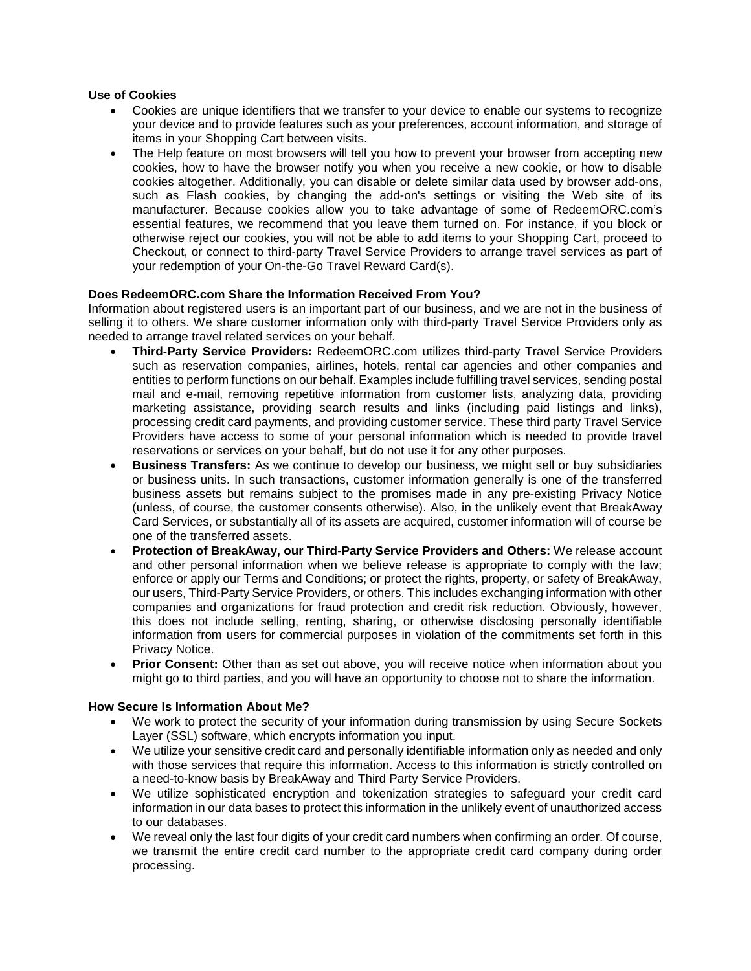## **Use of Cookies**

- Cookies are unique identifiers that we transfer to your device to enable our systems to recognize your device and to provide features such as your preferences, account information, and storage of items in your Shopping Cart between visits.
- The Help feature on most browsers will tell you how to prevent your browser from accepting new cookies, how to have the browser notify you when you receive a new cookie, or how to disable cookies altogether. Additionally, you can disable or delete similar data used by browser add-ons, such as Flash cookies, by changing the add-on's settings or visiting the Web site of its manufacturer. Because cookies allow you to take advantage of some of RedeemORC.com's essential features, we recommend that you leave them turned on. For instance, if you block or otherwise reject our cookies, you will not be able to add items to your Shopping Cart, proceed to Checkout, or connect to third-party Travel Service Providers to arrange travel services as part of your redemption of your On-the-Go Travel Reward Card(s).

# **Does RedeemORC.com Share the Information Received From You?**

Information about registered users is an important part of our business, and we are not in the business of selling it to others. We share customer information only with third-party Travel Service Providers only as needed to arrange travel related services on your behalf.

- **Third-Party Service Providers:** RedeemORC.com utilizes third-party Travel Service Providers such as reservation companies, airlines, hotels, rental car agencies and other companies and entities to perform functions on our behalf. Examples include fulfilling travel services, sending postal mail and e-mail, removing repetitive information from customer lists, analyzing data, providing marketing assistance, providing search results and links (including paid listings and links), processing credit card payments, and providing customer service. These third party Travel Service Providers have access to some of your personal information which is needed to provide travel reservations or services on your behalf, but do not use it for any other purposes.
- **Business Transfers:** As we continue to develop our business, we might sell or buy subsidiaries or business units. In such transactions, customer information generally is one of the transferred business assets but remains subject to the promises made in any pre-existing Privacy Notice (unless, of course, the customer consents otherwise). Also, in the unlikely event that BreakAway Card Services, or substantially all of its assets are acquired, customer information will of course be one of the transferred assets.
- **Protection of BreakAway, our Third-Party Service Providers and Others:** We release account and other personal information when we believe release is appropriate to comply with the law; enforce or apply our Terms and Conditions; or protect the rights, property, or safety of BreakAway, our users, Third-Party Service Providers, or others. This includes exchanging information with other companies and organizations for fraud protection and credit risk reduction. Obviously, however, this does not include selling, renting, sharing, or otherwise disclosing personally identifiable information from users for commercial purposes in violation of the commitments set forth in this Privacy Notice.
- **Prior Consent:** Other than as set out above, you will receive notice when information about you might go to third parties, and you will have an opportunity to choose not to share the information.

### **How Secure Is Information About Me?**

- We work to protect the security of your information during transmission by using Secure Sockets Layer (SSL) software, which encrypts information you input.
- We utilize your sensitive credit card and personally identifiable information only as needed and only with those services that require this information. Access to this information is strictly controlled on a need-to-know basis by BreakAway and Third Party Service Providers.
- We utilize sophisticated encryption and tokenization strategies to safeguard your credit card information in our data bases to protect this information in the unlikely event of unauthorized access to our databases.
- We reveal only the last four digits of your credit card numbers when confirming an order. Of course, we transmit the entire credit card number to the appropriate credit card company during order processing.